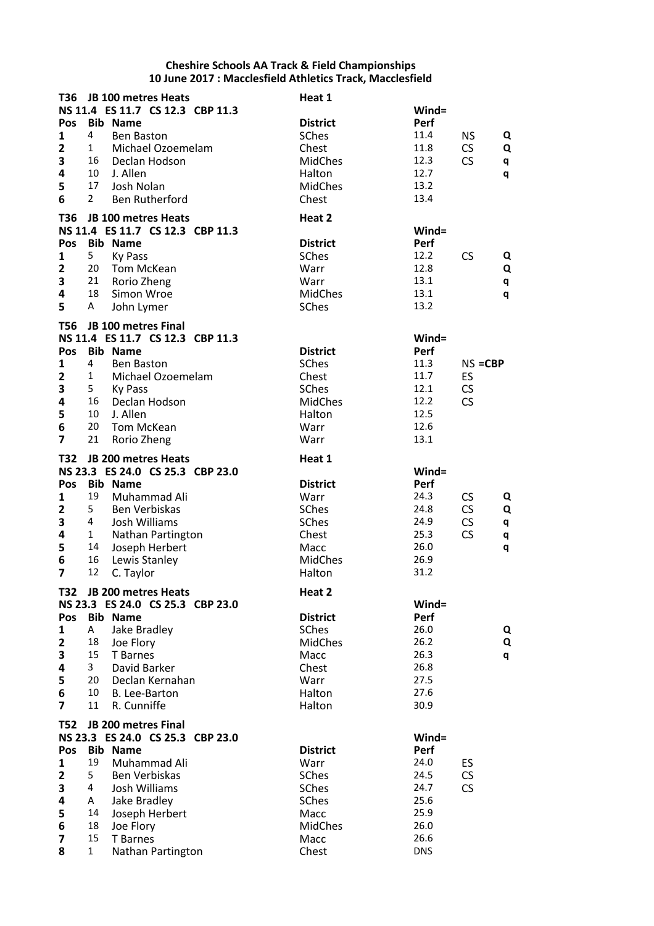| T36                     |              | JB 100 metres Heats                                            | Heat 1           |              |            |   |
|-------------------------|--------------|----------------------------------------------------------------|------------------|--------------|------------|---|
|                         |              | NS 11.4 ES 11.7 CS 12.3 CBP 11.3                               |                  | $Wind =$     |            |   |
| Pos                     |              | <b>Bib Name</b>                                                | <b>District</b>  | Perf         |            |   |
| 1                       | 4            | <b>Ben Baston</b>                                              | <b>SChes</b>     | 11.4         | <b>NS</b>  | Q |
| $\overline{2}$          | $\mathbf{1}$ | Michael Ozoemelam                                              | Chest            | 11.8         | CS         | Q |
| 3                       | 16           | Declan Hodson                                                  | <b>MidChes</b>   | 12.3         | <b>CS</b>  | q |
| 4                       | 10           | J. Allen                                                       | Halton           | 12.7         |            | q |
| 5                       | 17           | Josh Nolan                                                     | <b>MidChes</b>   | 13.2         |            |   |
| 6                       | $\mathbf{2}$ | <b>Ben Rutherford</b>                                          | Chest            | 13.4         |            |   |
| T36                     |              | JB 100 metres Heats                                            | Heat 2           |              |            |   |
|                         |              | NS 11.4 ES 11.7 CS 12.3 CBP 11.3                               |                  | $Wind =$     |            |   |
| Pos                     |              | <b>Bib Name</b>                                                | <b>District</b>  | Perf         |            |   |
| 1                       | 5            | <b>Ky Pass</b>                                                 | SChes            | 12.2         | CS         | Q |
| $\mathbf{2}$            | 20           | Tom McKean                                                     | Warr             | 12.8         |            | Q |
| 3                       | 21           | Rorio Zheng                                                    | Warr             | 13.1         |            | q |
| 4<br>5                  | 18           | Simon Wroe                                                     | MidChes<br>SChes | 13.1<br>13.2 |            | q |
|                         | A            | John Lymer                                                     |                  |              |            |   |
| T56                     |              | JB 100 metres Final                                            |                  |              |            |   |
|                         |              | NS 11.4 ES 11.7 CS 12.3 CBP 11.3                               |                  | $Wind =$     |            |   |
| Pos                     | 4            | <b>Bib Name</b>                                                | <b>District</b>  | Perf         |            |   |
| 1                       | $\mathbf{1}$ | <b>Ben Baston</b>                                              | SChes            | 11.3<br>11.7 | $NS = CBP$ |   |
| $\mathbf{2}$<br>3       | 5            | Michael Ozoemelam                                              | Chest<br>SChes   | 12.1         | ES<br>CS   |   |
| 4                       | 16           | Ky Pass<br>Declan Hodson                                       | <b>MidChes</b>   | 12.2         | CS         |   |
| 5                       | 10           | J. Allen                                                       | Halton           | 12.5         |            |   |
| 6                       | 20           | Tom McKean                                                     | Warr             | 12.6         |            |   |
| $\overline{7}$          | 21           | Rorio Zheng                                                    | Warr             | 13.1         |            |   |
|                         |              |                                                                |                  |              |            |   |
| T32                     |              | <b>JB 200 metres Heats</b><br>NS 23.3 ES 24.0 CS 25.3 CBP 23.0 | Heat 1           | $Wind =$     |            |   |
| Pos                     |              | <b>Bib Name</b>                                                | <b>District</b>  | Perf         |            |   |
| 1                       | 19           | Muhammad Ali                                                   | Warr             | 24.3         | <b>CS</b>  | Q |
| $\mathbf{2}$            | 5            | Ben Verbiskas                                                  | SChes            | 24.8         | <b>CS</b>  | Q |
| 3                       | 4            | Josh Williams                                                  | SChes            | 24.9         | CS         | q |
| 4                       | $\mathbf{1}$ | Nathan Partington                                              | Chest            | 25.3         | <b>CS</b>  | q |
| 5                       | 14           | Joseph Herbert                                                 | Macc             | 26.0         |            | q |
| 6                       | 16           | Lewis Stanley                                                  | <b>MidChes</b>   | 26.9         |            |   |
| $\overline{7}$          | 12           | C. Taylor                                                      | Halton           | 31.2         |            |   |
| T32                     |              | JB 200 metres Heats                                            | Heat 2           |              |            |   |
|                         |              | NS 23.3 ES 24.0 CS 25.3 CBP 23.0                               |                  | Wind=        |            |   |
| Pos                     |              | <b>Bib Name</b>                                                | <b>District</b>  | Perf         |            |   |
| 1                       | A            | Jake Bradley                                                   | SChes            | 26.0         |            | Q |
| $\overline{\mathbf{2}}$ | 18           | Joe Flory                                                      | <b>MidChes</b>   | 26.2         |            | Q |
| 3                       | 15           | T Barnes                                                       | Macc             | 26.3         |            | q |
| 4                       | 3            | David Barker                                                   | Chest            | 26.8         |            |   |
| 5                       | 20           | Declan Kernahan                                                | Warr             | 27.5         |            |   |
| 6                       | 10           | B. Lee-Barton                                                  | Halton           | 27.6         |            |   |
| $\overline{7}$          | 11           | R. Cunniffe                                                    | Halton           | 30.9         |            |   |
| <b>T52</b>              |              | JB 200 metres Final                                            |                  |              |            |   |
|                         |              | NS 23.3 ES 24.0 CS 25.3 CBP 23.0                               |                  | $Wind =$     |            |   |
| Pos                     |              | <b>Bib Name</b>                                                | <b>District</b>  | Perf         |            |   |
| 1                       | 19           | Muhammad Ali                                                   | Warr             | 24.0         | ES         |   |
| $\mathbf{2}$            | 5            | Ben Verbiskas                                                  | SChes            | 24.5         | CS         |   |
| 3                       | 4            | Josh Williams                                                  | SChes            | 24.7         | CS         |   |
| 4                       | A            | Jake Bradley                                                   | <b>SChes</b>     | 25.6         |            |   |
| 5                       | 14           | Joseph Herbert                                                 | Macc             | 25.9         |            |   |
| 6                       | 18           | Joe Flory                                                      | <b>MidChes</b>   | 26.0         |            |   |
| $\overline{\mathbf{z}}$ | 15           | T Barnes                                                       | Macc             | 26.6         |            |   |
| 8                       | $\mathbf{1}$ | Nathan Partington                                              | Chest            | <b>DNS</b>   |            |   |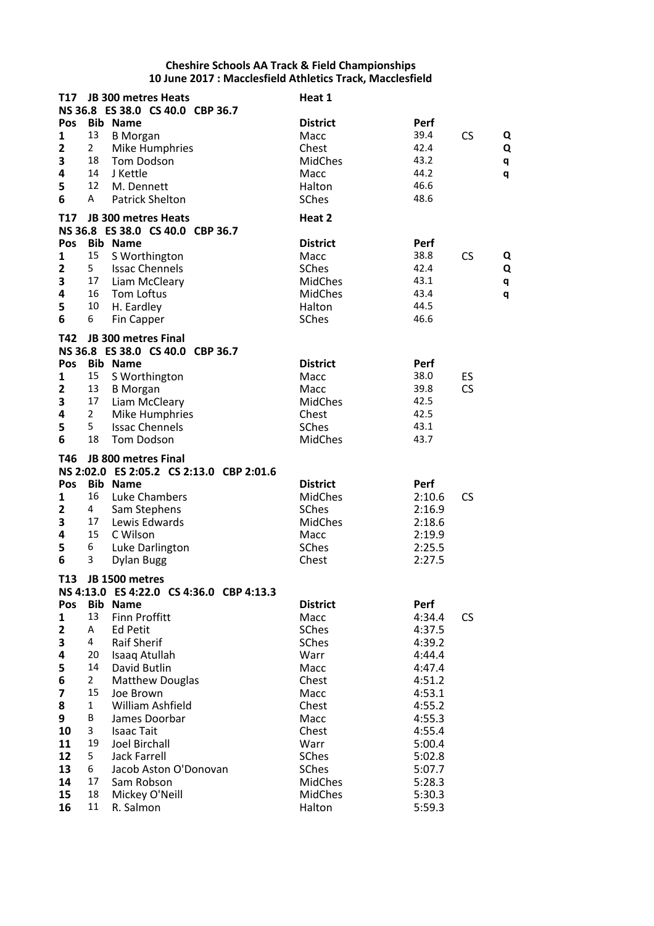| T17                     |                | JB 300 metres Heats                      | Heat 1               |                  |           |
|-------------------------|----------------|------------------------------------------|----------------------|------------------|-----------|
|                         |                | NS 36.8 ES 38.0 CS 40.0 CBP 36.7         |                      |                  |           |
| Pos                     |                | <b>Bib Name</b>                          | <b>District</b>      | Perf             |           |
| 1                       | 13             | <b>B</b> Morgan                          | Macc                 | 39.4             | CS<br>Q   |
| $\overline{\mathbf{2}}$ | $\overline{2}$ | Mike Humphries                           | Chest                | 42.4             | Q         |
| 3                       | 18             | Tom Dodson                               | MidChes              | 43.2             | q         |
| 4                       | 14             | J Kettle                                 | Macc                 | 44.2             | q         |
| 5                       | 12             | M. Dennett                               | Halton               | 46.6             |           |
| 6                       | Α              | <b>Patrick Shelton</b>                   | SChes                | 48.6             |           |
| <b>T17</b>              |                | JB 300 metres Heats                      | Heat 2               |                  |           |
|                         |                | NS 36.8 ES 38.0 CS 40.0 CBP 36.7         |                      |                  |           |
| Pos                     |                | <b>Bib Name</b>                          | <b>District</b>      | Perf             |           |
| 1                       | 15             | S Worthington                            | Macc                 | 38.8             | CS<br>Q   |
| $\mathbf{2}$            | 5 <sub>1</sub> | <b>Issac Chennels</b>                    | <b>SChes</b>         | 42.4             | Q         |
| 3                       | 17             | Liam McCleary                            | <b>MidChes</b>       | 43.1             | q         |
| 4                       | 16             | Tom Loftus                               | <b>MidChes</b>       | 43.4             | q         |
| 5                       | 10             | H. Eardley                               | Halton               | 44.5             |           |
| 6                       | 6              | Fin Capper                               | SChes                | 46.6             |           |
|                         |                |                                          |                      |                  |           |
| T42                     |                | JB 300 metres Final                      |                      |                  |           |
|                         |                | NS 36.8 ES 38.0 CS 40.0 CBP 36.7         |                      |                  |           |
| Pos                     |                | <b>Bib Name</b>                          | <b>District</b>      | Perf             |           |
| 1                       | 15             | S Worthington                            | Macc                 | 38.0             | ES        |
| $\mathbf{2}$            | 13             | <b>B</b> Morgan                          | Macc                 | 39.8             | CS        |
| 3                       | 17             | Liam McCleary                            | <b>MidChes</b>       | 42.5             |           |
| 4                       | $\overline{2}$ | Mike Humphries                           | Chest                | 42.5             |           |
| 5                       | 5              | <b>Issac Chennels</b>                    | <b>SChes</b>         | 43.1             |           |
| 6                       | 18             | Tom Dodson                               | MidChes              | 43.7             |           |
|                         |                |                                          |                      |                  |           |
| T46                     |                | JB 800 metres Final                      |                      |                  |           |
|                         |                | NS 2:02.0 ES 2:05.2 CS 2:13.0 CBP 2:01.6 |                      |                  |           |
| Pos                     |                | <b>Bib Name</b>                          | <b>District</b>      | Perf             |           |
| 1                       | 16             | Luke Chambers                            | <b>MidChes</b>       | 2:10.6           | <b>CS</b> |
| $\overline{\mathbf{c}}$ | 4              | Sam Stephens                             | <b>SChes</b>         | 2:16.9           |           |
| 3                       | 17             | Lewis Edwards                            | <b>MidChes</b>       | 2:18.6           |           |
| 4                       | 15             | C Wilson                                 | Macc                 | 2:19.9           |           |
| 5                       | 6              | Luke Darlington                          | SChes                | 2:25.5           |           |
| 6                       | 3              | <b>Dylan Bugg</b>                        | Chest                | 2:27.5           |           |
|                         |                |                                          |                      |                  |           |
| T <sub>13</sub>         |                | JB 1500 metres                           |                      |                  |           |
|                         |                | NS 4:13.0 ES 4:22.0 CS 4:36.0 CBP 4:13.3 |                      |                  |           |
| Pos                     | 13             | <b>Bib Name</b>                          | <b>District</b>      | Perf             |           |
| 1                       | A              | <b>Finn Proffitt</b>                     | Macc                 | 4:34.4           | <b>CS</b> |
| $\overline{\mathbf{2}}$ | 4              | <b>Ed Petit</b>                          | <b>SChes</b>         | 4:37.5           |           |
| 3                       | 20             | <b>Raif Sherif</b>                       | <b>SChes</b>         | 4:39.2           |           |
| 4                       | 14             | Isaaq Atullah<br>David Butlin            | Warr<br>Macc         | 4:44.4           |           |
| 5                       | $\overline{2}$ |                                          |                      | 4:47.4           |           |
| 6                       | 15             | <b>Matthew Douglas</b>                   | Chest                | 4:51.2           |           |
| $\overline{\mathbf{z}}$ | $\mathbf{1}$   | Joe Brown                                | Macc                 | 4:53.1           |           |
| 8<br>9                  | B              | William Ashfield<br>James Doorbar        | Chest<br>Macc        | 4:55.2<br>4:55.3 |           |
| 10                      | 3              | <b>Isaac Tait</b>                        | Chest                | 4:55.4           |           |
| 11                      | 19             | Joel Birchall                            |                      |                  |           |
| 12                      | 5              | Jack Farrell                             | Warr<br><b>SChes</b> | 5:00.4<br>5:02.8 |           |
| 13                      | 6              | Jacob Aston O'Donovan                    | <b>SChes</b>         | 5:07.7           |           |
| 14                      | 17             | Sam Robson                               | <b>MidChes</b>       | 5:28.3           |           |
| 15                      | 18             | Mickey O'Neill                           | <b>MidChes</b>       | 5:30.3           |           |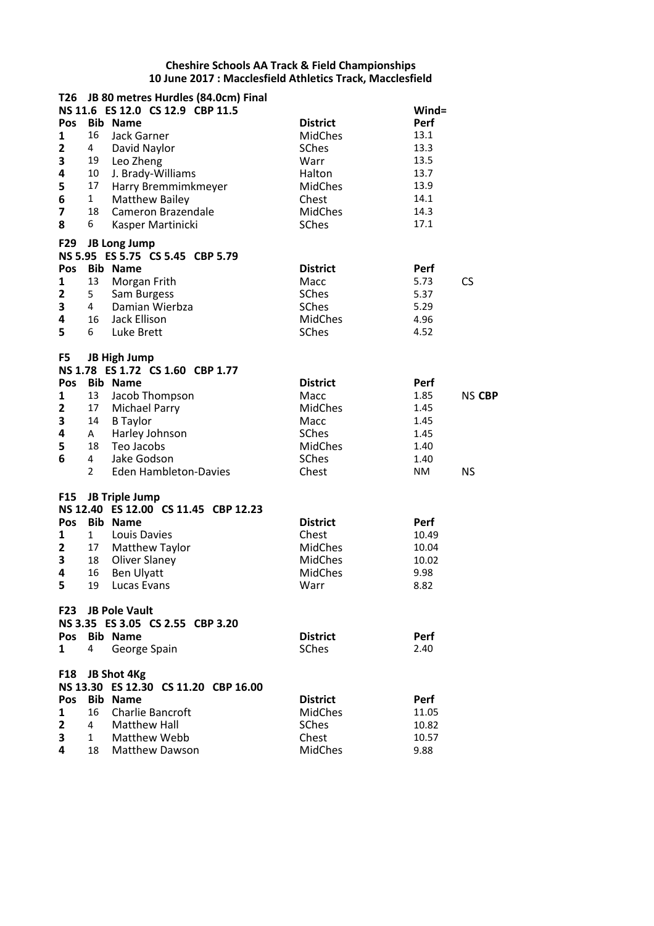|              |                | T26 JB 80 metres Hurdles (84.0cm) Final                       |                  |                       |
|--------------|----------------|---------------------------------------------------------------|------------------|-----------------------|
|              |                | NS 11.6 ES 12.0 CS 12.9 CBP 11.5                              |                  | Wind=                 |
| Pos          |                | <b>Bib Name</b>                                               | <b>District</b>  | Perf                  |
| 1            | 16             | Jack Garner                                                   | <b>MidChes</b>   | 13.1                  |
| $\mathbf{2}$ | 4              | David Naylor                                                  | <b>SChes</b>     | 13.3                  |
| 3            |                | 19 Leo Zheng                                                  | Warr             | 13.5                  |
| 4            | 10             | J. Brady-Williams                                             | Halton           | 13.7                  |
| 5            | 17             | Harry Bremmimkmeyer                                           | <b>MidChes</b>   | 13.9                  |
| 6            | $\mathbf{1}$   | <b>Matthew Bailey</b>                                         | Chest            | 14.1                  |
| 7<br>8       | 18<br>6        | Cameron Brazendale<br>Kasper Martinicki                       | MidChes<br>SChes | 14.3<br>17.1          |
|              |                |                                                               |                  |                       |
| F29          |                | JB Long Jump<br>NS 5.95 ES 5.75 CS 5.45 CBP 5.79              |                  |                       |
| Pos          |                | <b>Bib Name</b>                                               | <b>District</b>  | Perf                  |
| 1            | 13             | Morgan Frith                                                  | Macc             | <b>CS</b><br>5.73     |
| 2            | 5              | Sam Burgess                                                   | <b>SChes</b>     | 5.37                  |
| 3            | 4              | Damian Wierbza                                                | SChes            | 5.29                  |
| 4            | 16             | Jack Ellison                                                  | <b>MidChes</b>   | 4.96                  |
| 5            | 6              | Luke Brett                                                    | <b>SChes</b>     | 4.52                  |
|              |                |                                                               |                  |                       |
| F5           |                | <b>JB High Jump</b><br>NS 1.78 ES 1.72 CS 1.60 CBP 1.77       |                  |                       |
| Pos          |                | <b>Bib Name</b>                                               | <b>District</b>  | Perf                  |
| 1            |                | 13 Jacob Thompson                                             | Macc             | 1.85<br><b>NS CBP</b> |
| $\mathbf{2}$ | 17             | Michael Parry                                                 | <b>MidChes</b>   | 1.45                  |
| 3            | 14             | <b>B</b> Taylor                                               | Macc             | 1.45                  |
| 4            | A              | Harley Johnson                                                | SChes            | 1.45                  |
| 5            | 18             | Teo Jacobs                                                    | <b>MidChes</b>   | 1.40                  |
| 6            | $\overline{4}$ | Jake Godson                                                   | <b>SChes</b>     | 1.40                  |
|              | $\mathbf{2}$   | <b>Eden Hambleton-Davies</b>                                  | Chest            | <b>NS</b><br>NM       |
|              |                |                                                               |                  |                       |
| F15          |                | <b>JB Triple Jump</b><br>NS 12.40 ES 12.00 CS 11.45 CBP 12.23 |                  |                       |
|              |                | <b>Bib Name</b>                                               | <b>District</b>  |                       |
| Pos          |                | Louis Davies                                                  | Chest            | Perf                  |
| 1            | 1              |                                                               | <b>MidChes</b>   | 10.49<br>10.04        |
| 2<br>3       | 18             | 17 Matthew Taylor<br>Oliver Slaney                            | <b>MidChes</b>   | 10.02                 |
| 4            | 16             | Ben Ulyatt                                                    | <b>MidChes</b>   | 9.98                  |
| 5            |                | 19 Lucas Evans                                                | Warr             | 8.82                  |
|              |                |                                                               |                  |                       |
|              |                | F23 JB Pole Vault                                             |                  |                       |
|              |                | NS 3.35 ES 3.05 CS 2.55 CBP 3.20                              |                  |                       |
| Pos          |                | <b>Bib Name</b>                                               | <b>District</b>  | Perf                  |
| $\mathbf{1}$ | 4              | George Spain                                                  | <b>SChes</b>     | 2.40                  |
|              |                | F18 JB Shot 4Kg                                               |                  |                       |
|              |                | NS 13.30 ES 12.30 CS 11.20 CBP 16.00                          |                  |                       |
| Pos          |                | <b>Bib Name</b>                                               | <b>District</b>  | Perf                  |
| 1            | 16             | Charlie Bancroft                                              | <b>MidChes</b>   | 11.05                 |
| $\mathbf{2}$ | 4              | <b>Matthew Hall</b>                                           | <b>SChes</b>     | 10.82                 |
| 3            | $\mathbf{1}$   | Matthew Webb                                                  | Chest            | 10.57                 |
| 4            | 18             | <b>Matthew Dawson</b>                                         | <b>MidChes</b>   | 9.88                  |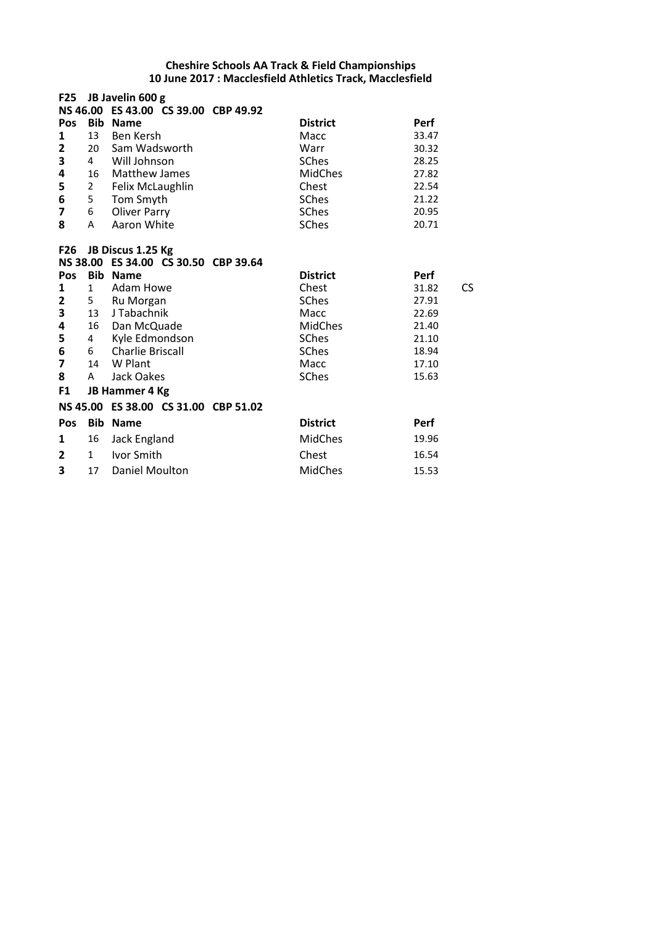| <b>F25</b>      |                | JB Javelin 600 g                                    |                 |             |
|-----------------|----------------|-----------------------------------------------------|-----------------|-------------|
| Pos             | <b>Bib</b>     | NS 46.00 ES 43.00 CS 39.00 CBP 49.92<br><b>Name</b> | <b>District</b> | <b>Perf</b> |
| 1               | 13             | <b>Ben Kersh</b>                                    | Macc            | 33.47       |
| $\mathbf{2}$    | 20             | Sam Wadsworth                                       | Warr            | 30.32       |
| 3               | 4              | Will Johnson                                        | <b>SChes</b>    | 28.25       |
| 4               | 16             | Matthew James                                       | <b>MidChes</b>  | 27.82       |
| 5               | $\overline{2}$ | Felix McLaughlin                                    | Chest           | 22.54       |
| 6               | 5              | Tom Smyth                                           | SChes           | 21.22       |
| 7               | 6              | <b>Oliver Parry</b>                                 | SChes           | 20.95       |
| 8               | A              | Aaron White                                         | <b>SChes</b>    | 20.71       |
| F <sub>26</sub> |                | JB Discus 1.25 Kg                                   |                 |             |
|                 |                | NS 38.00 ES 34.00 CS 30.50 CBP 39.64                |                 |             |
| Pos             | <b>Bib</b>     | <b>Name</b>                                         | <b>District</b> | <b>Perf</b> |
| 1               | $\mathbf{1}$   | Adam Howe                                           | Chest           | 31.82<br>CS |
| 2               | $5 -$          | Ru Morgan                                           | <b>SChes</b>    | 27.91       |
| 3               | 13             | J Tabachnik                                         | Macc            | 22.69       |
| 4               | 16             | Dan McQuade                                         | <b>MidChes</b>  | 21.40       |
| 5               | 4              | Kyle Edmondson                                      | <b>SChes</b>    | 21.10       |
| 6               | 6              | <b>Charlie Briscall</b>                             | SChes           | 18.94       |
| 7               | 14             | W Plant                                             | Macc            | 17.10       |
| 8               | A              | Jack Oakes                                          | <b>SChes</b>    | 15.63       |
| F <sub>1</sub>  |                | JB Hammer 4 Kg                                      |                 |             |
|                 |                | NS 45.00 ES 38.00 CS 31.00 CBP 51.02                |                 |             |
| Pos             | <b>Bib</b>     | <b>Name</b>                                         | <b>District</b> | <b>Perf</b> |
| 1               | 16             | Jack England                                        | <b>MidChes</b>  | 19.96       |
| 2               | $\mathbf{1}$   | Ivor Smith                                          | Chest           | 16.54       |
| 3               | 17             | Daniel Moulton                                      | <b>MidChes</b>  | 15.53       |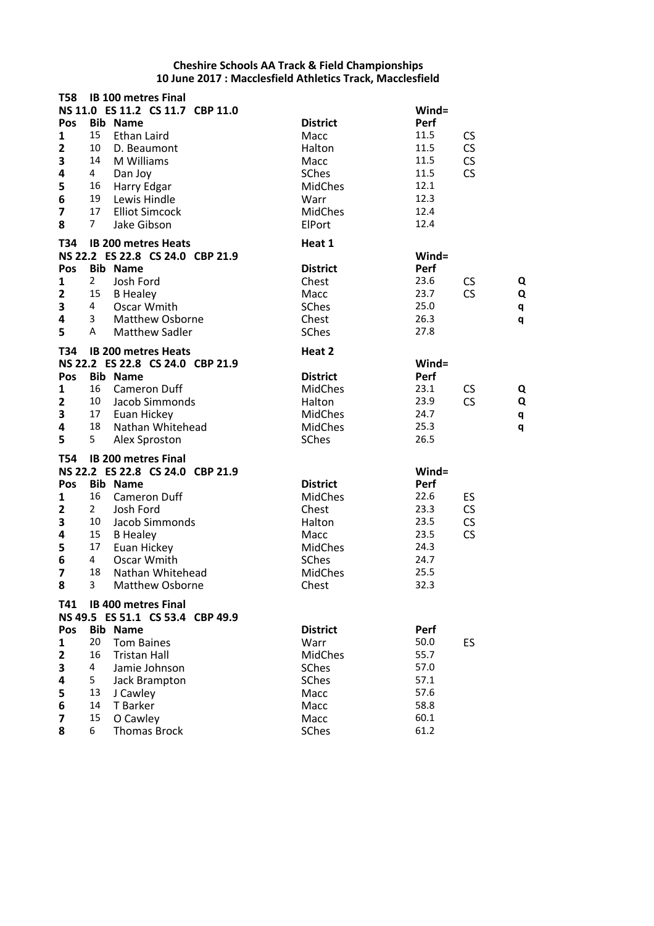| <b>T58</b>              |                | <b>IB 100 metres Final</b>                                     |                         |              |                |
|-------------------------|----------------|----------------------------------------------------------------|-------------------------|--------------|----------------|
|                         |                | NS 11.0 ES 11.2 CS 11.7 CBP 11.0                               |                         | Wind=        |                |
| Pos<br>$\mathbf{1}$     | 15             | <b>Bib Name</b><br><b>Ethan Laird</b>                          | <b>District</b><br>Macc | Perf<br>11.5 | <b>CS</b>      |
| $\overline{2}$          | 10             | D. Beaumont                                                    | Halton                  | 11.5         | CS             |
| 3                       | 14             | M Williams                                                     | Macc                    | 11.5         | CS             |
| 4                       | 4              | Dan Joy                                                        | <b>SChes</b>            | 11.5         | CS             |
|                         | 16             | Harry Edgar                                                    | <b>MidChes</b>          | 12.1         |                |
| $\frac{5}{6}$           | 19             | Lewis Hindle                                                   | Warr                    | 12.3         |                |
| $\overline{\mathbf{z}}$ | 17             | <b>Elliot Simcock</b>                                          | <b>MidChes</b>          | 12.4         |                |
| 8                       | $\overline{7}$ | Jake Gibson                                                    | ElPort                  | 12.4         |                |
|                         |                |                                                                |                         |              |                |
| T34                     |                | <b>IB 200 metres Heats</b><br>NS 22.2 ES 22.8 CS 24.0 CBP 21.9 | Heat 1                  | Wind=        |                |
| Pos                     |                | <b>Bib Name</b>                                                | <b>District</b>         | Perf         |                |
| 1                       | $\overline{2}$ | Josh Ford                                                      | Chest                   | 23.6         | CS<br>Q        |
| $\overline{2}$          | 15             | <b>B</b> Healey                                                | Macc                    | 23.7         | <b>CS</b><br>Q |
| 3                       | 4              | Oscar Wmith                                                    | SChes                   | 25.0         | q              |
| 4                       | 3              | <b>Matthew Osborne</b>                                         | Chest                   | 26.3         | q              |
| 5                       | A              | <b>Matthew Sadler</b>                                          | SChes                   | 27.8         |                |
| T34                     |                | <b>IB 200 metres Heats</b>                                     | Heat 2                  |              |                |
|                         |                | NS 22.2 ES 22.8 CS 24.0 CBP 21.9                               |                         | Wind=        |                |
| Pos                     |                | <b>Bib Name</b>                                                | <b>District</b>         | Perf         |                |
| 1                       | 16             | <b>Cameron Duff</b>                                            | <b>MidChes</b>          | 23.1         | <b>CS</b><br>Q |
| $\overline{2}$          | 10             | Jacob Simmonds                                                 | Halton                  | 23.9         | CS<br>Q        |
| 3                       | 17             | Euan Hickey                                                    | MidChes                 | 24.7         | q              |
| 4                       | 18             | Nathan Whitehead                                               | <b>MidChes</b>          | 25.3         | q              |
| 5                       | 5              | Alex Sproston                                                  | SChes                   | 26.5         |                |
| <b>T54</b>              |                | <b>IB 200 metres Final</b>                                     |                         |              |                |
|                         |                | NS 22.2 ES 22.8 CS 24.0 CBP 21.9                               |                         | $Wind =$     |                |
| Pos                     |                | <b>Bib Name</b>                                                | <b>District</b>         | Perf         |                |
| 1                       | 16             | <b>Cameron Duff</b>                                            | <b>MidChes</b>          | 22.6         | ES             |
| $\overline{2}$          | $\overline{2}$ | Josh Ford                                                      | Chest                   | 23.3         | <b>CS</b>      |
| 3                       | 10             | Jacob Simmonds                                                 | Halton                  | 23.5         | CS             |
| 4                       | 15             | <b>B</b> Healey                                                | Macc                    | 23.5         | CS             |
| 5                       | 17             | Euan Hickey                                                    | <b>MidChes</b>          | 24.3         |                |
| 6                       | $\overline{4}$ | Oscar Wmith                                                    | <b>SChes</b>            | 24.7         |                |
| $\overline{\mathbf{z}}$ | 18             | Nathan Whitehead                                               | <b>MidChes</b>          | 25.5         |                |
| 8                       |                | 3 Matthew Osborne                                              | Chest                   | 32.3         |                |
| T41                     |                | <b>IB 400 metres Final</b>                                     |                         |              |                |
|                         |                | NS 49.5 ES 51.1 CS 53.4 CBP 49.9                               |                         |              |                |
| Pos                     |                | <b>Bib Name</b>                                                | <b>District</b>         | Perf         |                |
| 1                       | 20             | <b>Tom Baines</b>                                              | Warr                    | 50.0         | ES             |
| $\mathbf{2}$            | 16             | <b>Tristan Hall</b>                                            | <b>MidChes</b>          | 55.7         |                |
| 3                       | 4              | Jamie Johnson                                                  | SChes                   | 57.0         |                |
| 4                       | 5              | Jack Brampton                                                  | SChes                   | 57.1         |                |
| 5                       | 13             | J Cawley                                                       | Macc                    | 57.6         |                |
| 6                       | 14             | T Barker                                                       | Macc                    | 58.8         |                |
| 7                       | 15             | O Cawley                                                       | Macc                    | 60.1         |                |
| 8                       | 6              | <b>Thomas Brock</b>                                            | SChes                   | 61.2         |                |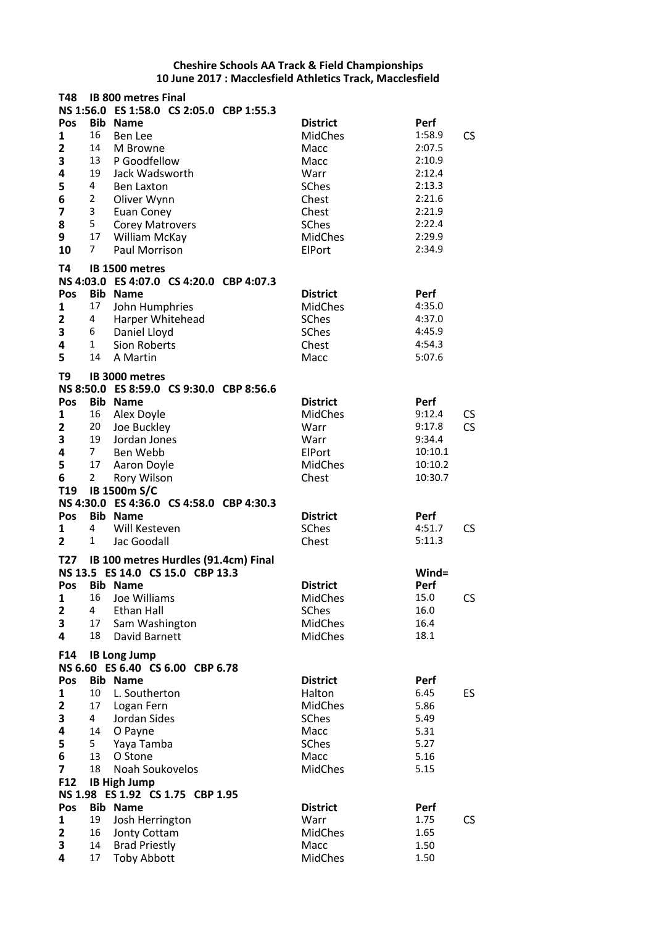| T48                          |                  | <b>IB 800 metres Final</b>                              |                                   |                    |           |
|------------------------------|------------------|---------------------------------------------------------|-----------------------------------|--------------------|-----------|
|                              |                  | NS 1:56.0 ES 1:58.0 CS 2:05.0 CBP 1:55.3                |                                   |                    |           |
| Pos                          | <b>Bib</b><br>16 | <b>Name</b>                                             | <b>District</b><br><b>MidChes</b> | Perf<br>1:58.9     | <b>CS</b> |
| 1<br>$\overline{\mathbf{2}}$ | 14               | Ben Lee<br>M Browne                                     | Macc                              | 2:07.5             |           |
| 3                            | 13               | P Goodfellow                                            | Macc                              | 2:10.9             |           |
| 4                            | 19               | Jack Wadsworth                                          | Warr                              | 2:12.4             |           |
| 5                            | 4                | <b>Ben Laxton</b>                                       | SChes                             | 2:13.3             |           |
| 6                            | $\overline{2}$   | Oliver Wynn                                             | Chest                             | 2:21.6             |           |
| 7                            | 3                | Euan Coney                                              | Chest                             | 2:21.9             |           |
| 8                            | 5                | <b>Corey Matrovers</b>                                  | SChes                             | 2:22.4             |           |
| 9                            | 17               | William McKay                                           | <b>MidChes</b>                    | 2:29.9             |           |
| 10                           | $7^{\circ}$      | <b>Paul Morrison</b>                                    | ElPort                            | 2:34.9             |           |
| T4                           |                  | IB 1500 metres                                          |                                   |                    |           |
| <b>NS 4:03.0</b>             |                  | ES 4:07.0 CS 4:20.0 CBP 4:07.3                          |                                   |                    |           |
| Pos<br>1                     | Bib<br>17        | <b>Name</b><br>John Humphries                           | <b>District</b><br><b>MidChes</b> | Perf<br>4:35.0     |           |
| $\mathbf{2}$                 | 4                | Harper Whitehead                                        | <b>SChes</b>                      | 4:37.0             |           |
| 3                            | 6                | Daniel Lloyd                                            | SChes                             | 4:45.9             |           |
| 4                            | $\mathbf{1}$     | <b>Sion Roberts</b>                                     | Chest                             | 4:54.3             |           |
| 5                            | 14               | A Martin                                                | Macc                              | 5:07.6             |           |
| T9                           |                  | IB 3000 metres                                          |                                   |                    |           |
|                              |                  | NS 8:50.0 ES 8:59.0 CS 9:30.0 CBP 8:56.6                |                                   |                    |           |
| Pos                          |                  | <b>Bib Name</b>                                         | <b>District</b>                   | Perf               |           |
| 1                            | 16               | Alex Doyle                                              | <b>MidChes</b>                    | 9:12.4             | CS        |
| $\overline{\mathbf{2}}$      | 20               | Joe Buckley                                             | Warr                              | 9:17.8             | CS        |
| 3                            | 19               | Jordan Jones                                            | Warr                              | 9:34.4             |           |
| 4<br>5                       | 7<br>17          | Ben Webb                                                | ElPort<br><b>MidChes</b>          | 10:10.1<br>10:10.2 |           |
| 6                            | $\overline{2}$   | Aaron Doyle<br>Rory Wilson                              | Chest                             | 10:30.7            |           |
| T19                          |                  | IB 1500m S/C                                            |                                   |                    |           |
|                              |                  | NS 4:30.0 ES 4:36.0 CS 4:58.0 CBP 4:30.3                |                                   |                    |           |
| Pos                          |                  | <b>Bib Name</b>                                         | <b>District</b>                   | Perf               |           |
| 1                            | 4                | Will Kesteven                                           | <b>SChes</b>                      | 4:51.7             | CS        |
| $\overline{2}$               | 1                | Jac Goodall                                             | Chest                             | 5:11.3             |           |
| T <sub>27</sub>              |                  | IB 100 metres Hurdles (91.4cm) Final                    |                                   |                    |           |
|                              |                  | NS 13.5 ES 14.0 CS 15.0 CBP 13.3                        |                                   | Wind=              |           |
| Pos                          | Bib              | <b>Name</b>                                             | <b>District</b>                   | Perf               |           |
| 1<br>$\mathbf{2}$            | 16<br>4          | Joe Williams<br><b>Ethan Hall</b>                       | <b>MidChes</b><br><b>SChes</b>    | 15.0<br>16.0       | CS        |
| 3                            | 17               | Sam Washington                                          | <b>MidChes</b>                    | 16.4               |           |
| 4                            | 18               | David Barnett                                           | <b>MidChes</b>                    | 18.1               |           |
| F14                          |                  |                                                         |                                   |                    |           |
|                              |                  | <b>IB Long Jump</b><br>NS 6.60 ES 6.40 CS 6.00 CBP 6.78 |                                   |                    |           |
| Pos                          |                  | <b>Bib Name</b>                                         | <b>District</b>                   | Perf               |           |
| 1                            | 10               | L. Southerton                                           | Halton                            | 6.45               | ES        |
| $\mathbf{2}$                 | 17               | Logan Fern                                              | <b>MidChes</b>                    | 5.86               |           |
| 3                            | $\overline{4}$   | Jordan Sides                                            | <b>SChes</b>                      | 5.49               |           |
| 4                            | 14               | O Payne                                                 | Macc                              | 5.31               |           |
| 5                            | 5                | Yaya Tamba                                              | <b>SChes</b>                      | 5.27               |           |
| 6<br>7                       | 13<br>18         | O Stone<br>Noah Soukovelos                              | Macc<br><b>MidChes</b>            | 5.16<br>5.15       |           |
| F12                          |                  | <b>IB High Jump</b>                                     |                                   |                    |           |
|                              |                  | NS 1.98 ES 1.92 CS 1.75 CBP 1.95                        |                                   |                    |           |
| Pos                          |                  | <b>Bib Name</b>                                         | <b>District</b>                   | Perf               |           |
| 1                            | 19               | Josh Herrington                                         | Warr                              | 1.75               | CS        |
| $\overline{\mathbf{2}}$      | 16               | Jonty Cottam                                            | <b>MidChes</b>                    | 1.65               |           |
| 3                            | 14               | <b>Brad Priestly</b>                                    | Macc                              | 1.50               |           |
| 4                            | 17               | <b>Toby Abbott</b>                                      | <b>MidChes</b>                    | 1.50               |           |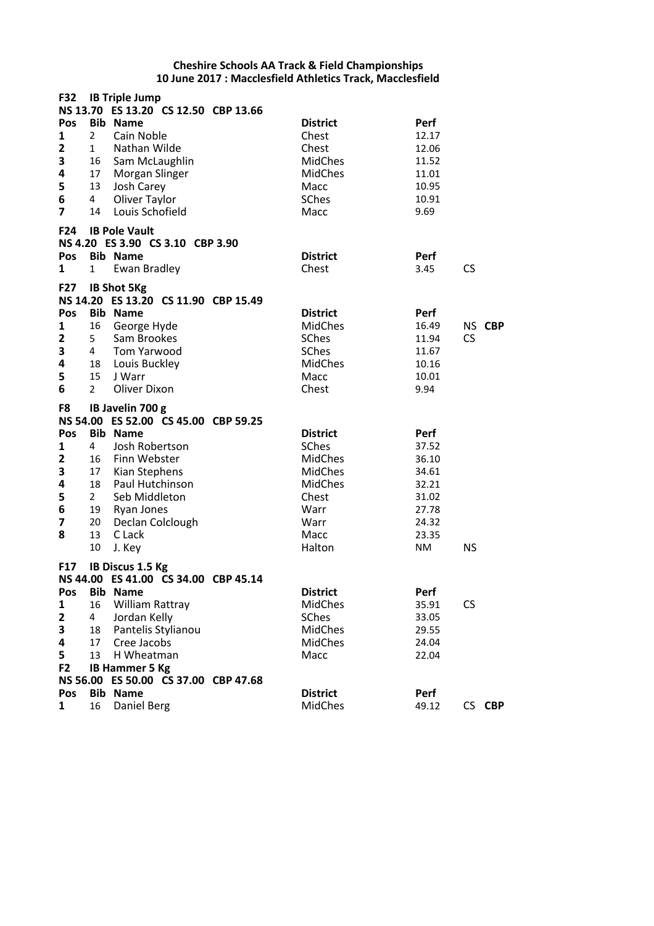| F32                     |                 | <b>IB Triple Jump</b><br>NS 13.70 ES 13.20 CS 12.50 CBP 13.66 |                         |           |
|-------------------------|-----------------|---------------------------------------------------------------|-------------------------|-----------|
| Pos                     |                 | <b>Bib Name</b>                                               | <b>District</b><br>Perf |           |
| 1                       | $\overline{2}$  | Cain Noble                                                    | Chest<br>12.17          |           |
| $\overline{\mathbf{2}}$ | $\mathbf{1}$    | Nathan Wilde                                                  | Chest<br>12.06          |           |
| 3                       | 16              | Sam McLaughlin                                                | <b>MidChes</b><br>11.52 |           |
| 4                       | 17              | Morgan Slinger                                                | <b>MidChes</b><br>11.01 |           |
| 5                       | 13              | Josh Carey                                                    | Macc<br>10.95           |           |
| 6                       | 4               | Oliver Taylor                                                 | <b>SChes</b><br>10.91   |           |
| $\overline{7}$          | 14              | Louis Schofield                                               | Macc<br>9.69            |           |
| F24                     |                 | <b>IB Pole Vault</b>                                          |                         |           |
|                         |                 | NS 4.20 ES 3.90 CS 3.10 CBP 3.90                              |                         |           |
| Pos                     |                 | <b>Bib Name</b>                                               | <b>District</b><br>Perf |           |
| 1                       | $\mathbf{1}$    | Ewan Bradley                                                  | Chest<br>3.45           | <b>CS</b> |
| <b>F27</b>              |                 | <b>IB Shot 5Kg</b><br>NS 14.20 ES 13.20 CS 11.90 CBP 15.49    |                         |           |
| Pos                     |                 | <b>Bib Name</b>                                               | <b>District</b><br>Perf |           |
|                         | 16              | George Hyde                                                   | <b>MidChes</b><br>16.49 | NS CBP    |
| 1<br>2                  | 5               | Sam Brookes                                                   | <b>SChes</b><br>11.94   | <b>CS</b> |
| 3                       | $4\overline{ }$ | Tom Yarwood                                                   | <b>SChes</b><br>11.67   |           |
| 4                       | 18              | Louis Buckley                                                 | <b>MidChes</b><br>10.16 |           |
| 5                       | 15              | J Warr                                                        | Macc<br>10.01           |           |
| 6                       | $\overline{2}$  | Oliver Dixon                                                  | Chest<br>9.94           |           |
|                         |                 |                                                               |                         |           |
| F8                      |                 | IB Javelin 700 g<br>NS 54.00 ES 52.00 CS 45.00 CBP 59.25      |                         |           |
| Pos                     |                 | <b>Bib Name</b>                                               | <b>District</b><br>Perf |           |
| 1                       | 4               | Josh Robertson                                                | <b>SChes</b><br>37.52   |           |
| $\mathbf{2}$            | 16              | Finn Webster                                                  | <b>MidChes</b><br>36.10 |           |
| 3                       | 17              | Kian Stephens                                                 | <b>MidChes</b><br>34.61 |           |
| 4                       | 18              | Paul Hutchinson                                               | <b>MidChes</b><br>32.21 |           |
| 5                       | $\overline{2}$  | Seb Middleton                                                 | Chest<br>31.02          |           |
| 6                       | 19              | Ryan Jones                                                    | Warr<br>27.78           |           |
| $\overline{\mathbf{z}}$ | 20              | Declan Colclough                                              | Warr<br>24.32           |           |
| 8                       | 13              | C Lack                                                        | Macc<br>23.35           |           |
|                         | 10              | J. Key                                                        | Halton<br>NM            | <b>NS</b> |
| <b>F17</b>              |                 | IB Discus 1.5 Kg<br>NS 44.00 ES 41.00 CS 34.00 CBP 45.14      |                         |           |
| Pos                     |                 | <b>Bib Name</b>                                               | <b>District</b><br>Perf |           |
| 1                       | 16              | William Rattray                                               | MidChes<br>35.91        | CS        |
| 2                       | 4               | Jordan Kelly                                                  | SChes<br>33.05          |           |
| 3                       | 18              | Pantelis Stylianou                                            | MidChes<br>29.55        |           |
|                         |                 |                                                               | <b>MidChes</b><br>24.04 |           |
|                         |                 |                                                               |                         |           |
| 4                       | 17              | Cree Jacobs                                                   |                         |           |
| 5                       | 13              | H Wheatman                                                    | Macc<br>22.04           |           |
| F <sub>2</sub>          |                 | <b>IB Hammer 5 Kg</b>                                         |                         |           |
| Pos                     |                 | NS 56.00 ES 50.00 CS 37.00 CBP 47.68<br><b>Bib Name</b>       | <b>District</b><br>Perf |           |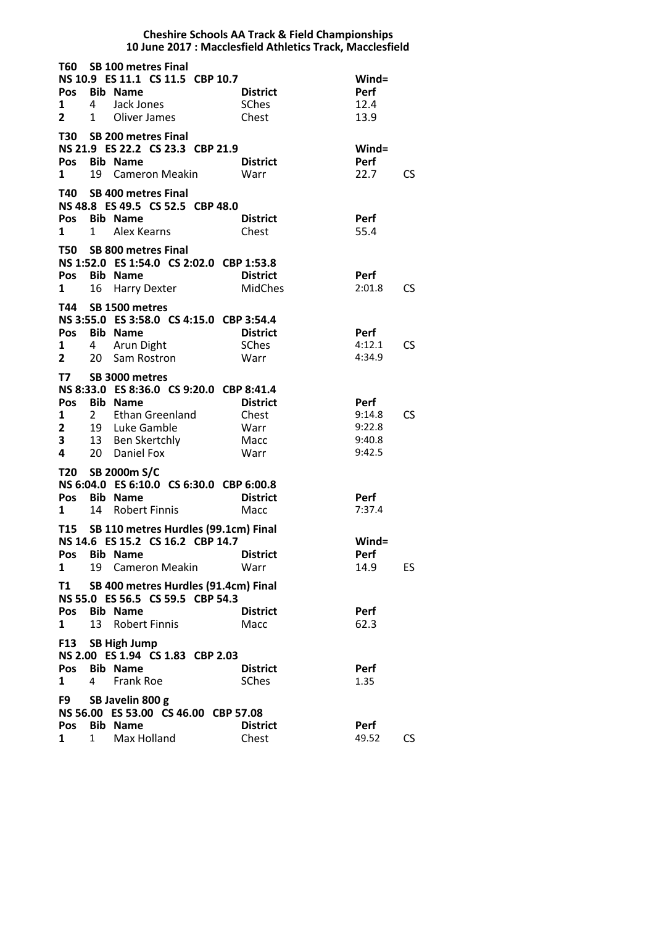|                                   |                   |                                                                                                                                                          | <b>Cheshire Schools AA Track &amp; Field Championships</b><br>10 June 2017 : Macclesfield Athletics Track, Macclesfield |                                              |           |
|-----------------------------------|-------------------|----------------------------------------------------------------------------------------------------------------------------------------------------------|-------------------------------------------------------------------------------------------------------------------------|----------------------------------------------|-----------|
| 1<br>$\mathbf{2}$                 | 4<br>$\mathbf{1}$ | T60 SB 100 metres Final<br>NS 10.9 ES 11.1 CS 11.5 CBP 10.7<br>Pos Bib Name<br>Jack Jones<br>Oliver James                                                | <b>District</b><br><b>SChes</b><br>Chest                                                                                | $Wind =$<br>Perf<br>12.4<br>13.9             |           |
| Pos<br>1                          | 19                | T30 SB 200 metres Final<br>NS 21.9 ES 22.2 CS 23.3 CBP 21.9<br><b>Bib Name</b><br>Cameron Meakin                                                         | <b>District</b><br>Warr                                                                                                 | $Wind =$<br>Perf<br>22.7                     | <b>CS</b> |
| 1                                 | $\mathbf{1}$      | T40 SB 400 metres Final<br>NS 48.8 ES 49.5 CS 52.5 CBP 48.0<br>Pos Bib Name<br>Alex Kearns                                                               | <b>District</b><br>Chest                                                                                                | Perf<br>55.4                                 |           |
| Pos<br>1                          | 16                | T50 SB 800 metres Final<br>NS 1:52.0 ES 1:54.0 CS 2:02.0 CBP 1:53.8<br><b>Bib Name</b><br><b>Harry Dexter</b>                                            | <b>District</b><br>MidChes                                                                                              | Perf<br>2:01.8                               | CS.       |
| 1<br>$\overline{2}$               | 4<br>20           | T44 SB 1500 metres<br>NS 3:55.0 ES 3:58.0 CS 4:15.0 CBP 3:54.4<br>Pos Bib Name<br>Arun Dight<br>Sam Rostron                                              | <b>District</b><br><b>SChes</b><br>Warr                                                                                 | Perf<br>4:12.1<br>4:34.9                     | CS.       |
| T7<br>1<br>$\mathbf{2}$<br>3<br>4 | $2^{\circ}$<br>20 | SB 3000 metres<br>NS 8:33.0 ES 8:36.0 CS 9:20.0 CBP 8:41.4<br>Pos Bib Name<br><b>Ethan Greenland</b><br>19 Luke Gamble<br>13 Ben Skertchly<br>Daniel Fox | <b>District</b><br>Chest<br>Warr<br>Macc<br>Warr                                                                        | Perf<br>9:14.8<br>9:22.8<br>9:40.8<br>9:42.5 | CS.       |
| T20<br>Pos<br>1                   | 14                | SB 2000m S/C<br>NS 6:04.0 ES 6:10.0 CS 6:30.0 CBP 6:00.8<br><b>Bib Name</b><br><b>Robert Finnis</b>                                                      | <b>District</b><br>Macc                                                                                                 | Perf<br>7:37.4                               |           |
| Pos<br>1                          | 19                | T15 SB 110 metres Hurdles (99.1cm) Final<br>NS 14.6 ES 15.2 CS 16.2 CBP 14.7<br><b>Bib Name</b><br><b>Cameron Meakin</b>                                 | <b>District</b><br>Warr                                                                                                 | $Wind =$<br>Perf<br>14.9                     | ES.       |
| T1<br>Pos<br>1                    | 13                | SB 400 metres Hurdles (91.4cm) Final<br>NS 55.0 ES 56.5 CS 59.5 CBP 54.3<br><b>Bib Name</b><br>Robert Finnis                                             | <b>District</b><br>Macc                                                                                                 | Perf<br>62.3                                 |           |
| Pos<br>$\mathbf{1}$               | 4                 | F13 SB High Jump<br>NS 2.00 ES 1.94 CS 1.83 CBP 2.03<br><b>Bib Name</b><br>Frank Roe                                                                     | <b>District</b><br><b>SChes</b>                                                                                         | Perf<br>1.35                                 |           |
| F9 a<br>Pos<br>1                  | $\mathbf{1}$      | SB Javelin 800 g<br>NS 56.00 ES 53.00 CS 46.00 CBP 57.08<br><b>Bib Name</b><br>Max Holland                                                               | <b>District</b><br>Chest                                                                                                | Perf<br>49.52                                | CS.       |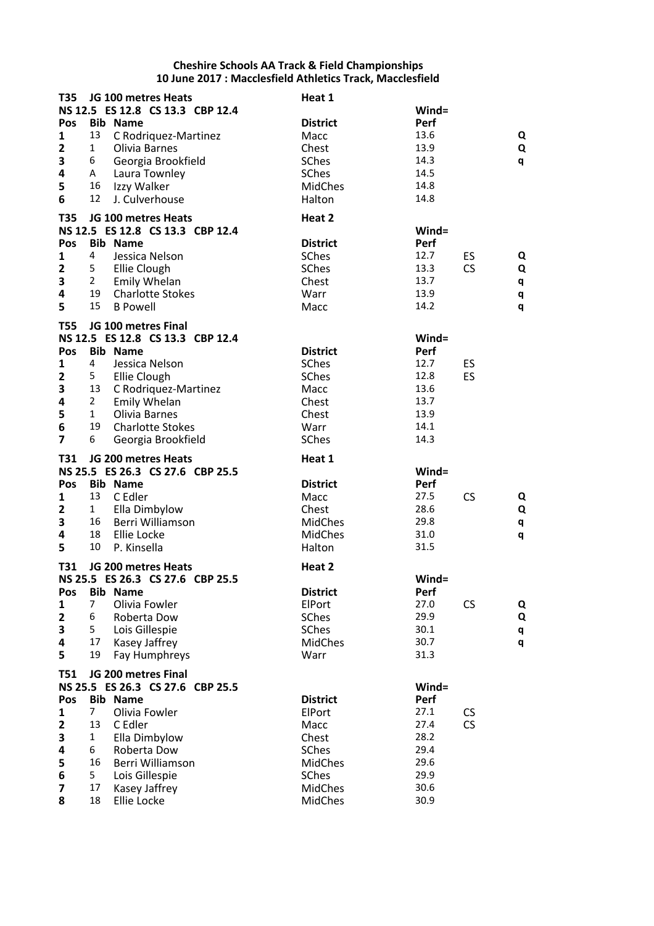| T35                          |                | JG 100 metres Heats<br>NS 12.5 ES 12.8 CS 13.3 CBP 12.4 | Heat 1                    | Wind=        |           |   |
|------------------------------|----------------|---------------------------------------------------------|---------------------------|--------------|-----------|---|
| Pos                          |                | <b>Bib Name</b>                                         | <b>District</b>           | Perf         |           |   |
| $\mathbf{1}$                 | 13             | C Rodriquez-Martinez                                    | Macc                      | 13.6         |           | Q |
| $\mathbf{2}$                 | 1              | Olivia Barnes                                           | Chest                     | 13.9         |           | Q |
| 3                            | 6              | Georgia Brookfield                                      | SChes                     | 14.3         |           | q |
| 4                            | A              | Laura Townley                                           | SChes                     | 14.5         |           |   |
| 5                            | 16             | Izzy Walker                                             | <b>MidChes</b>            | 14.8         |           |   |
| 6                            | 12             | J. Culverhouse                                          | Halton                    | 14.8         |           |   |
| <b>T35</b>                   |                | JG 100 metres Heats                                     | Heat 2                    |              |           |   |
|                              |                | NS 12.5 ES 12.8 CS 13.3 CBP 12.4                        |                           | $Wind =$     |           |   |
| Pos                          |                | <b>Bib Name</b>                                         | <b>District</b>           | Perf         |           |   |
| 1                            | 4              | Jessica Nelson                                          | SChes                     | 12.7         | ES        | Q |
| $\mathbf{2}$                 | 5              | Ellie Clough                                            | SChes                     | 13.3         | CS        | Q |
| 3                            | $2^{\circ}$    | Emily Whelan                                            | Chest                     | 13.7         |           | q |
| 4                            | 19             | <b>Charlotte Stokes</b>                                 | Warr                      | 13.9         |           | q |
| 5                            | 15             | <b>B Powell</b>                                         | Macc                      | 14.2         |           | q |
| <b>T55</b>                   |                | JG 100 metres Final                                     |                           |              |           |   |
|                              |                | NS 12.5 ES 12.8 CS 13.3 CBP 12.4                        |                           | Wind=        |           |   |
| Pos                          |                | <b>Bib Name</b>                                         | <b>District</b>           | Perf         |           |   |
| 1                            | 4              | Jessica Nelson                                          | <b>SChes</b>              | 12.7         | ES        |   |
| $\mathbf{2}$                 | 5              | Ellie Clough                                            | SChes                     | 12.8         | ES        |   |
| 3                            | 13             | C Rodriquez-Martinez                                    | Macc                      | 13.6         |           |   |
| 4                            | $\overline{2}$ | Emily Whelan                                            | Chest                     | 13.7         |           |   |
| 5                            | $\mathbf{1}$   | Olivia Barnes                                           | Chest                     | 13.9         |           |   |
| 6                            | 19             | <b>Charlotte Stokes</b>                                 | Warr                      | 14.1         |           |   |
| $\overline{7}$               | 6              | Georgia Brookfield                                      | SChes                     | 14.3         |           |   |
|                              |                |                                                         |                           |              |           |   |
| <b>T31</b>                   |                | JG 200 metres Heats                                     | Heat 1                    |              |           |   |
|                              |                | NS 25.5 ES 26.3 CS 27.6 CBP 25.5                        |                           | $Wind =$     |           |   |
| Pos                          |                | <b>Bib Name</b>                                         | <b>District</b>           | Perf         |           |   |
| 1                            | 13             | C Edler                                                 | Macc                      | 27.5         | <b>CS</b> | Q |
| $\mathbf{2}$                 | $\mathbf{1}$   | Ella Dimbylow                                           | Chest                     | 28.6         |           | Q |
| 3                            | 16             | Berri Williamson                                        | <b>MidChes</b>            | 29.8         |           | q |
| $\overline{\mathbf{4}}$      | 18             | Ellie Locke                                             | <b>MidChes</b>            | 31.0         |           | q |
| 5                            | 10             | P. Kinsella                                             | Halton                    | 31.5         |           |   |
| T31                          |                | JG 200 metres Heats                                     | Heat 2                    |              |           |   |
|                              |                | NS 25.5 ES 26.3 CS 27.6 CBP 25.5                        |                           | $Wind =$     |           |   |
| Pos                          |                | <b>Bib Name</b>                                         | <b>District</b>           | Perf         |           |   |
| $\mathbf{1}$                 | $\overline{7}$ | Olivia Fowler                                           | ElPort                    | 27.0         | CS        | Q |
| $\mathbf{2}$                 | 6              | Roberta Dow                                             | <b>SChes</b>              | 29.9         |           | Q |
| 3                            | 5              | Lois Gillespie                                          | <b>SChes</b>              | 30.1         |           | q |
| 4                            | 17             | Kasey Jaffrey                                           | <b>MidChes</b>            | 30.7         |           | q |
| 5                            | 19             | Fay Humphreys                                           | Warr                      | 31.3         |           |   |
| <b>T51</b>                   |                | JG 200 metres Final                                     |                           |              |           |   |
|                              |                | NS 25.5 ES 26.3 CS 27.6 CBP 25.5                        |                           | $Wind =$     |           |   |
| Pos                          |                | <b>Bib Name</b>                                         | <b>District</b>           | Perf         |           |   |
| 1                            | $\overline{7}$ | Olivia Fowler                                           | ElPort                    | 27.1         | <b>CS</b> |   |
| $\mathbf{2}$                 | 13             | C Edler                                                 | Macc                      | 27.4         | CS        |   |
| 3                            | $\mathbf{1}$   | Ella Dimbylow                                           | Chest                     | 28.2         |           |   |
| 4                            | 6              | Roberta Dow                                             | <b>SChes</b>              | 29.4         |           |   |
| 5                            | 16             | Berri Williamson                                        | <b>MidChes</b>            | 29.6         |           |   |
| 6                            | 5              | Lois Gillespie                                          | <b>SChes</b>              | 29.9         |           |   |
| $\overline{\mathbf{z}}$<br>8 | 17<br>18       | Kasey Jaffrey<br>Ellie Locke                            | <b>MidChes</b><br>MidChes | 30.6<br>30.9 |           |   |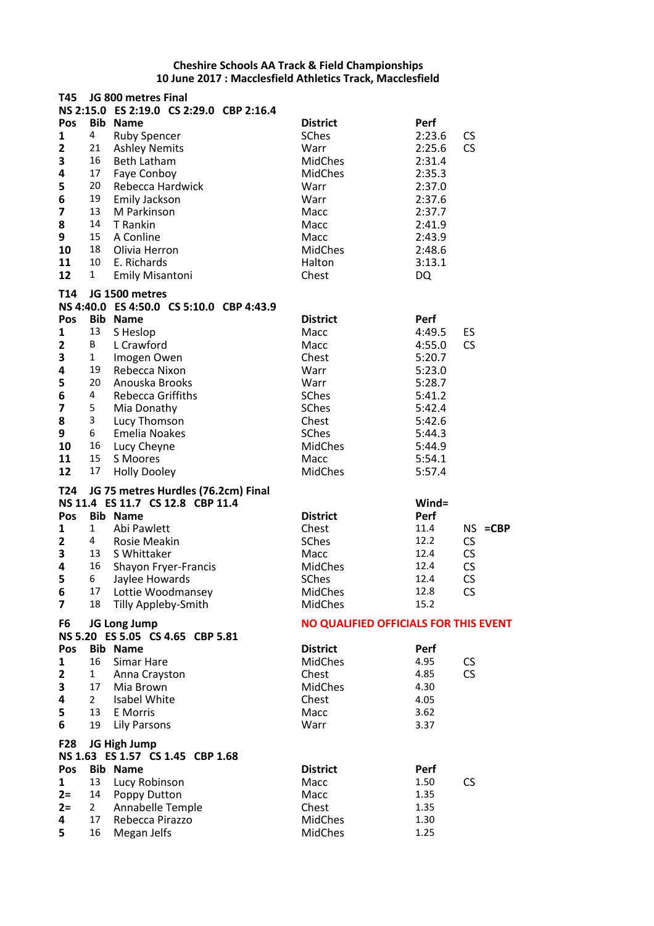| T45                     |                | JG 800 metres Final                      |                                       |           |                 |
|-------------------------|----------------|------------------------------------------|---------------------------------------|-----------|-----------------|
|                         |                | NS 2:15.0 ES 2:19.0 CS 2:29.0 CBP 2:16.4 |                                       |           |                 |
| Pos                     |                | <b>Bib Name</b>                          | <b>District</b>                       | Perf      |                 |
| 1                       | 4              | <b>Ruby Spencer</b>                      | <b>SChes</b>                          | 2:23.6    | <b>CS</b>       |
| $\overline{2}$          | 21             | <b>Ashley Nemits</b>                     | Warr                                  | 2:25.6    | CS              |
| 3                       | 16             | <b>Beth Latham</b>                       | MidChes                               | 2:31.4    |                 |
| 4                       | 17             | Faye Conboy                              | <b>MidChes</b>                        | 2:35.3    |                 |
| 5                       | 20             | Rebecca Hardwick                         | Warr                                  | 2:37.0    |                 |
| 6                       | 19             | <b>Emily Jackson</b>                     | Warr                                  | 2:37.6    |                 |
| 7                       | 13             | M Parkinson                              | Macc                                  | 2:37.7    |                 |
| 8                       | 14             | T Rankin                                 | Macc                                  | 2:41.9    |                 |
| 9                       | 15             |                                          | Macc                                  |           |                 |
|                         | 18             | A Conline<br>Olivia Herron               |                                       | 2:43.9    |                 |
| 10                      |                |                                          | <b>MidChes</b>                        | 2:48.6    |                 |
| 11                      | 10             | E. Richards                              | Halton                                | 3:13.1    |                 |
| 12                      | $\mathbf{1}$   | <b>Emily Misantoni</b>                   | Chest                                 | <b>DQ</b> |                 |
| <b>T14</b>              |                | JG 1500 metres                           |                                       |           |                 |
|                         |                | NS 4:40.0 ES 4:50.0 CS 5:10.0 CBP 4:43.9 |                                       |           |                 |
| Pos                     |                | <b>Bib Name</b>                          | <b>District</b>                       | Perf      |                 |
| 1                       | 13             | S Heslop                                 | Macc                                  | 4:49.5    | ES              |
| $\overline{2}$          | В              | L Crawford                               | Macc                                  | 4:55.0    | <b>CS</b>       |
| 3                       | $\mathbf{1}$   | Imogen Owen                              | Chest                                 | 5:20.7    |                 |
| 4                       | 19             | Rebecca Nixon                            | Warr                                  | 5:23.0    |                 |
| 5                       | 20             | Anouska Brooks                           | Warr                                  | 5:28.7    |                 |
|                         | 4              | <b>Rebecca Griffiths</b>                 |                                       | 5:41.2    |                 |
| 6                       |                |                                          | SChes                                 |           |                 |
| 7                       | 5              | Mia Donathy                              | <b>SChes</b>                          | 5:42.4    |                 |
| 8                       | 3              | Lucy Thomson                             | Chest                                 | 5:42.6    |                 |
| 9                       | 6              | <b>Emelia Noakes</b>                     | SChes                                 | 5:44.3    |                 |
| 10                      | 16             | Lucy Cheyne                              | <b>MidChes</b>                        | 5:44.9    |                 |
| 11                      | 15             | S Moores                                 | Macc                                  | 5:54.1    |                 |
| 12                      | 17             | <b>Holly Dooley</b>                      | <b>MidChes</b>                        | 5:57.4    |                 |
| T24                     |                | JG 75 metres Hurdles (76.2cm) Final      |                                       |           |                 |
|                         |                | NS 11.4 ES 11.7 CS 12.8 CBP 11.4         |                                       | Wind=     |                 |
| Pos                     |                | <b>Bib Name</b>                          | <b>District</b>                       | Perf      |                 |
| 1                       | 1              | Abi Pawlett                              | Chest                                 | 11.4      | $NS = CBP$      |
| $\mathbf{2}$            | 4              | Rosie Meakin                             | <b>SChes</b>                          | 12.2      | CS              |
| 3                       | 13             | S Whittaker                              | Macc                                  | 12.4      | CS              |
| 4                       | 16             |                                          | <b>MidChes</b>                        | 12.4      |                 |
| 5                       | 6              | Shayon Fryer-Francis                     |                                       | 12.4      | CS<br><b>CS</b> |
|                         |                | Jaylee Howards                           | SChes                                 |           |                 |
| 6                       | 17             | Lottie Woodmansey                        | MidChes                               | 12.8      | CS              |
| $\overline{\mathbf{z}}$ | 18             | Tilly Appleby-Smith                      | <b>MidChes</b>                        | 15.2      |                 |
| F6                      |                | JG Long Jump                             | NO QUALIFIED OFFICIALS FOR THIS EVENT |           |                 |
|                         |                | NS 5.20 ES 5.05 CS 4.65 CBP 5.81         |                                       |           |                 |
| Pos                     |                | <b>Bib Name</b>                          | <b>District</b>                       | Perf      |                 |
| 1                       | 16             | Simar Hare                               | <b>MidChes</b>                        | 4.95      | <b>CS</b>       |
| $\overline{2}$          | 1              | Anna Crayston                            | Chest                                 | 4.85      | CS              |
| 3                       | 17             | Mia Brown                                | <b>MidChes</b>                        | 4.30      |                 |
| 4                       | $\overline{2}$ | Isabel White                             | Chest                                 | 4.05      |                 |
| 5                       | 13             | E Morris                                 | Macc                                  | 3.62      |                 |
| 6                       | 19             | <b>Lily Parsons</b>                      | Warr                                  | 3.37      |                 |
|                         |                |                                          |                                       |           |                 |
| <b>F28</b>              |                | JG High Jump                             |                                       |           |                 |
|                         |                | NS 1.63 ES 1.57 CS 1.45 CBP 1.68         |                                       |           |                 |
| Pos                     |                | <b>Bib Name</b>                          | <b>District</b>                       | Perf      |                 |
| 1                       | 13             | Lucy Robinson                            | Macc                                  | 1.50      | <b>CS</b>       |
| $2=$                    | 14             | Poppy Dutton                             | Macc                                  | 1.35      |                 |
| $2=$                    | $\mathbf{2}$   | <b>Annabelle Temple</b>                  | Chest                                 | 1.35      |                 |
| 4                       | 17             | Rebecca Pirazzo                          | <b>MidChes</b>                        | 1.30      |                 |
|                         | 16             | Megan Jelfs                              | MidChes                               | 1.25      |                 |
| 5                       |                |                                          |                                       |           |                 |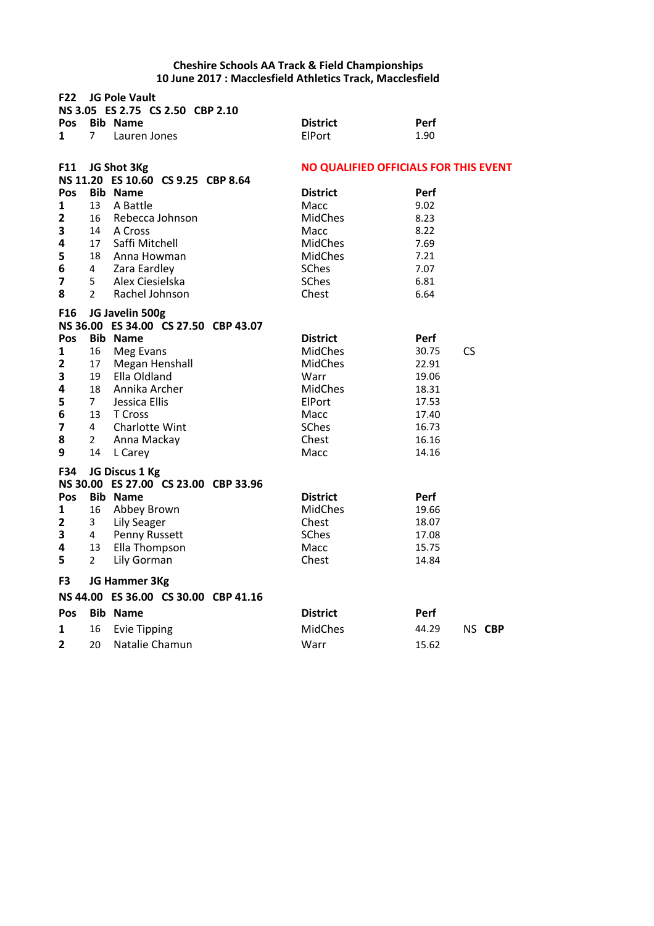| <b>F22</b><br><b>JG Pole Vault</b><br>NS 3.05 ES 2.75 CS 2.50 CBP 2.10 |                |                                                         |  |                                              |                            |  |  |  |
|------------------------------------------------------------------------|----------------|---------------------------------------------------------|--|----------------------------------------------|----------------------------|--|--|--|
| Pos                                                                    |                | <b>Bib Name</b>                                         |  | <b>District</b>                              | <b>Perf</b>                |  |  |  |
| 1                                                                      | $\overline{7}$ | Lauren Jones                                            |  | ElPort                                       | 1.90                       |  |  |  |
| F11                                                                    |                | JG Shot 3Kg<br>NS 11.20 ES 10.60 CS 9.25 CBP 8.64       |  | <b>NO QUALIFIED OFFICIALS FOR THIS EVENT</b> |                            |  |  |  |
| Pos                                                                    |                | <b>Bib Name</b>                                         |  | <b>District</b>                              | <b>Perf</b>                |  |  |  |
| $\mathbf{1}$                                                           | 13             | A Battle                                                |  | Macc                                         | 9.02                       |  |  |  |
| $\mathbf{2}$                                                           | 16             | Rebecca Johnson                                         |  | <b>MidChes</b>                               | 8.23                       |  |  |  |
| 3                                                                      | 14             | A Cross                                                 |  | Macc                                         | 8.22                       |  |  |  |
| 4                                                                      | 17             | Saffi Mitchell                                          |  | <b>MidChes</b>                               | 7.69                       |  |  |  |
| 5                                                                      | 18             | Anna Howman                                             |  | MidChes                                      | 7.21                       |  |  |  |
| 6                                                                      | 4              | Zara Eardley                                            |  | SChes                                        | 7.07                       |  |  |  |
| 7                                                                      | 5              | Alex Ciesielska                                         |  | SChes                                        | 6.81                       |  |  |  |
| 8                                                                      | $\overline{2}$ | Rachel Johnson                                          |  | Chest                                        | 6.64                       |  |  |  |
|                                                                        |                |                                                         |  |                                              |                            |  |  |  |
| F <sub>16</sub>                                                        |                | JG Javelin 500g                                         |  |                                              |                            |  |  |  |
|                                                                        |                | NS 36.00 ES 34.00 CS 27.50 CBP 43.07                    |  |                                              |                            |  |  |  |
| Pos<br>$\mathbf{1}$                                                    |                | <b>Bib Name</b>                                         |  | <b>District</b><br><b>MidChes</b>            | <b>Perf</b><br>30.75<br>CS |  |  |  |
| $\overline{2}$                                                         | 16<br>17       | Meg Evans<br>Megan Henshall                             |  | <b>MidChes</b>                               | 22.91                      |  |  |  |
| 3                                                                      | 19             | Ella Oldland                                            |  | Warr                                         | 19.06                      |  |  |  |
| 4                                                                      | 18             | Annika Archer                                           |  | <b>MidChes</b>                               | 18.31                      |  |  |  |
| 5                                                                      | $\overline{7}$ | Jessica Ellis                                           |  | ElPort                                       | 17.53                      |  |  |  |
| 6                                                                      | 13             | T Cross                                                 |  | Macc                                         | 17.40                      |  |  |  |
| $\overline{\mathbf{z}}$                                                | 4              | Charlotte Wint                                          |  | <b>SChes</b>                                 | 16.73                      |  |  |  |
| 8                                                                      | $\overline{2}$ | Anna Mackay                                             |  | Chest                                        | 16.16                      |  |  |  |
| 9                                                                      | 14             | L Carey                                                 |  | Macc                                         | 14.16                      |  |  |  |
|                                                                        |                |                                                         |  |                                              |                            |  |  |  |
| F34                                                                    |                | JG Discus 1 Kg                                          |  |                                              |                            |  |  |  |
| Pos                                                                    |                | NS 30.00 ES 27.00 CS 23.00 CBP 33.96<br><b>Bib Name</b> |  | <b>District</b>                              |                            |  |  |  |
| $\mathbf{1}$                                                           | 16             | Abbey Brown                                             |  | <b>MidChes</b>                               | <b>Perf</b><br>19.66       |  |  |  |
| $\mathbf{2}$                                                           | 3              | <b>Lily Seager</b>                                      |  | Chest                                        | 18.07                      |  |  |  |
| 3                                                                      | 4              | Penny Russett                                           |  | <b>SChes</b>                                 | 17.08                      |  |  |  |
| 4                                                                      | 13             | Ella Thompson                                           |  | Macc                                         | 15.75                      |  |  |  |
| 5                                                                      | $\overline{2}$ | Lily Gorman                                             |  | Chest                                        | 14.84                      |  |  |  |
|                                                                        |                |                                                         |  |                                              |                            |  |  |  |
| F3                                                                     |                | JG Hammer 3Kg                                           |  |                                              |                            |  |  |  |
|                                                                        |                | NS 44.00 ES 36.00 CS 30.00 CBP 41.16                    |  |                                              |                            |  |  |  |
| Pos                                                                    |                | <b>Bib Name</b>                                         |  | <b>District</b>                              | <b>Perf</b>                |  |  |  |
| 1                                                                      | 16             | <b>Evie Tipping</b>                                     |  | <b>MidChes</b>                               | 44.29<br>NS CBP            |  |  |  |
| 2                                                                      | 20             | Natalie Chamun                                          |  | Warr                                         | 15.62                      |  |  |  |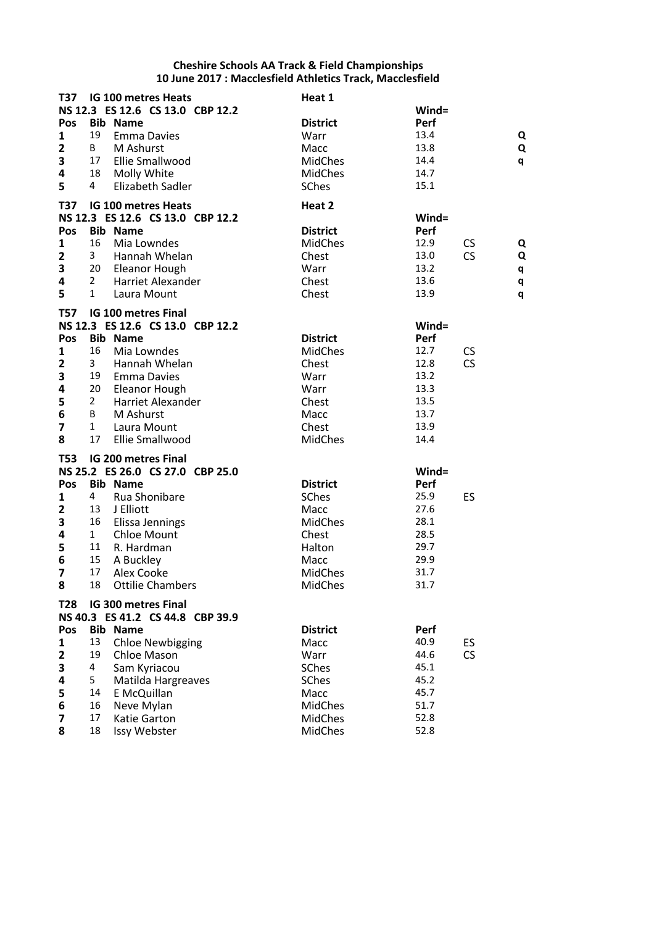| T37                     |                | IG 100 metres Heats              | Heat 1          |       |                |
|-------------------------|----------------|----------------------------------|-----------------|-------|----------------|
|                         |                | NS 12.3 ES 12.6 CS 13.0 CBP 12.2 |                 | Wind= |                |
| Pos                     |                | <b>Bib Name</b>                  | <b>District</b> | Perf  |                |
| $\mathbf{1}$            | 19             | <b>Emma Davies</b>               | Warr            | 13.4  | Q              |
| $\overline{2}$          | B              | M Ashurst                        | Macc            | 13.8  | Q              |
| 3                       | 17             | Ellie Smallwood                  | <b>MidChes</b>  | 14.4  | q              |
| 4                       | 18             | Molly White                      | <b>MidChes</b>  | 14.7  |                |
| 5                       | 4              | Elizabeth Sadler                 | <b>SChes</b>    | 15.1  |                |
|                         |                |                                  |                 |       |                |
| T37                     |                | <b>IG 100 metres Heats</b>       | Heat 2          |       |                |
|                         |                | NS 12.3 ES 12.6 CS 13.0 CBP 12.2 |                 | Wind= |                |
| Pos                     |                | <b>Bib Name</b>                  | <b>District</b> | Perf  |                |
| $\mathbf{1}$            | 16             | Mia Lowndes                      | <b>MidChes</b>  | 12.9  | <b>CS</b><br>Q |
| $\overline{2}$          | 3              | Hannah Whelan                    | Chest           | 13.0  | <b>CS</b><br>Q |
| 3                       | 20             | Eleanor Hough                    | Warr            | 13.2  | q              |
| 4                       | $\overline{2}$ | Harriet Alexander                | Chest           | 13.6  | q              |
| 5                       | $\mathbf{1}$   | Laura Mount                      | Chest           | 13.9  | q              |
| <b>T57</b>              |                | <b>IG 100 metres Final</b>       |                 |       |                |
|                         |                | NS 12.3 ES 12.6 CS 13.0 CBP 12.2 |                 | Wind= |                |
| Pos                     |                | <b>Bib Name</b>                  | <b>District</b> | Perf  |                |
| 1                       | 16             | Mia Lowndes                      | <b>MidChes</b>  | 12.7  | <b>CS</b>      |
| $\mathbf{2}$            | 3              | Hannah Whelan                    | Chest           | 12.8  | <b>CS</b>      |
| 3                       | 19             | <b>Emma Davies</b>               | Warr            | 13.2  |                |
| 4                       | 20             | Eleanor Hough                    | Warr            | 13.3  |                |
| 5                       | $\overline{2}$ | Harriet Alexander                | Chest           | 13.5  |                |
| 6                       | B              | M Ashurst                        | Macc            | 13.7  |                |
| $\overline{\mathbf{z}}$ | $\mathbf{1}$   | Laura Mount                      | Chest           | 13.9  |                |
| 8                       | 17             | Ellie Smallwood                  | <b>MidChes</b>  | 14.4  |                |
|                         |                |                                  |                 |       |                |
| <b>T53</b>              |                | IG 200 metres Final              |                 |       |                |
|                         |                | NS 25.2 ES 26.0 CS 27.0 CBP 25.0 |                 | Wind= |                |
| Pos                     |                | <b>Bib Name</b>                  | <b>District</b> | Perf  |                |
| 1                       | 4              | Rua Shonibare                    | SChes           | 25.9  | ES             |
| $\overline{\mathbf{2}}$ | 13             | J Elliott                        | Macc            | 27.6  |                |
| 3                       | 16             | Elissa Jennings                  | <b>MidChes</b>  | 28.1  |                |
| 4                       | $\mathbf{1}$   | <b>Chloe Mount</b>               | Chest           | 28.5  |                |
| 5                       | 11             | R. Hardman                       | Halton          | 29.7  |                |
| 6                       | 15             | A Buckley                        | Macc            | 29.9  |                |
| $\overline{\mathbf{z}}$ | 17             | Alex Cooke                       | <b>MidChes</b>  | 31.7  |                |
| 8                       |                | 18 Ottilie Chambers              | MidChes         | 31.7  |                |
| <b>T28</b>              |                | IG 300 metres Final              |                 |       |                |
|                         |                | NS 40.3 ES 41.2 CS 44.8 CBP 39.9 |                 |       |                |
| Pos                     |                | <b>Bib Name</b>                  | <b>District</b> | Perf  |                |
| $\mathbf{1}$            | 13             | <b>Chloe Newbigging</b>          | Macc            | 40.9  | ES             |
| $\mathbf{2}$            | 19             | Chloe Mason                      | Warr            | 44.6  | CS             |
| 3                       | 4              | Sam Kyriacou                     | SChes           | 45.1  |                |
| 4                       | 5              | Matilda Hargreaves               | SChes           | 45.2  |                |
| 5                       | 14             | E McQuillan                      | Macc            | 45.7  |                |
| 6                       | 16             | Neve Mylan                       | <b>MidChes</b>  | 51.7  |                |
| 7                       | 17             | Katie Garton                     | <b>MidChes</b>  | 52.8  |                |
| 8                       | 18             | Issy Webster                     | <b>MidChes</b>  | 52.8  |                |
|                         |                |                                  |                 |       |                |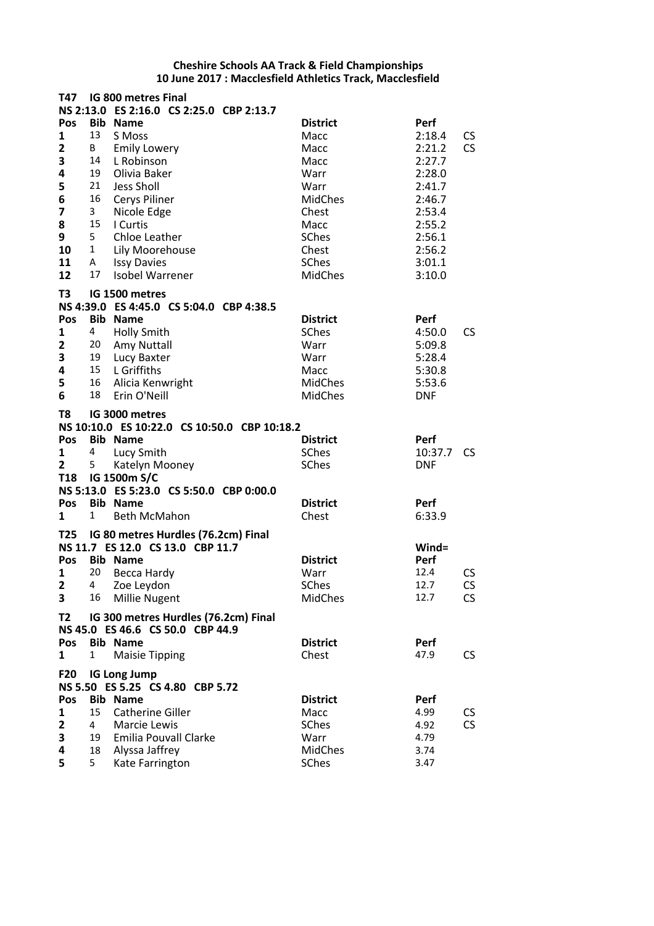| T47                     |                | IG 800 metres Final<br>NS 2:13.0 ES 2:16.0 CS 2:25.0 CBP 2:13.7 |                         |              |    |
|-------------------------|----------------|-----------------------------------------------------------------|-------------------------|--------------|----|
| Pos                     | Bib            | <b>Name</b>                                                     | <b>District</b>         | Perf         |    |
| 1                       | 13             | S Moss                                                          | Macc                    | 2:18.4       | CS |
| $\overline{\mathbf{2}}$ | B              | <b>Emily Lowery</b>                                             | Macc                    | 2:21.2       | CS |
|                         | 14             | L Robinson                                                      |                         |              |    |
| 3                       |                |                                                                 | Macc                    | 2:27.7       |    |
| 4                       | 19             | Olivia Baker                                                    | Warr                    | 2:28.0       |    |
| 5                       | 21             | Jess Sholl                                                      | Warr                    | 2:41.7       |    |
| 6                       | 16             | Cerys Piliner                                                   | <b>MidChes</b>          | 2:46.7       |    |
| 7                       | $\mathbf{3}$   | Nicole Edge                                                     | Chest                   | 2:53.4       |    |
| 8                       | 15             | I Curtis                                                        | Macc                    | 2:55.2       |    |
| 9                       | 5              | Chloe Leather                                                   | SChes                   | 2:56.1       |    |
| 10                      | $\mathbf{1}$   | Lily Moorehouse                                                 | Chest                   | 2:56.2       |    |
| 11                      | A              | <b>Issy Davies</b>                                              | SChes                   | 3:01.1       |    |
| 12                      | 17             | <b>Isobel Warrener</b>                                          | <b>MidChes</b>          | 3:10.0       |    |
|                         |                |                                                                 |                         |              |    |
| T3                      |                | IG 1500 metres                                                  |                         |              |    |
|                         |                | NS 4:39.0 ES 4:45.0 CS 5:04.0 CBP 4:38.5                        |                         |              |    |
| Pos                     | <b>Bib</b>     | <b>Name</b>                                                     | <b>District</b>         | Perf         |    |
| 1                       | 4              | <b>Holly Smith</b>                                              | <b>SChes</b>            | 4:50.0       | CS |
| $\mathbf{2}$            | 20             | Amy Nuttall                                                     | Warr                    | 5:09.8       |    |
| 3                       | 19             | Lucy Baxter                                                     | Warr                    | 5:28.4       |    |
| 4                       | 15             | L Griffiths                                                     | Macc                    | 5:30.8       |    |
| 5                       | 16             | Alicia Kenwright                                                | MidChes                 | 5:53.6       |    |
| 6                       | 18             | Erin O'Neill                                                    | <b>MidChes</b>          | <b>DNF</b>   |    |
| T8                      |                | IG 3000 metres<br>NS 10:10.0 ES 10:22.0 CS 10:50.0 CBP 10:18.2  |                         |              |    |
| Pos                     |                | <b>Bib Name</b>                                                 | <b>District</b>         | Perf         |    |
|                         |                |                                                                 |                         |              |    |
| 1                       | 4              | Lucy Smith                                                      | SChes                   | 10:37.7      | CS |
| $\overline{2}$          | 5              | Katelyn Mooney                                                  | <b>SChes</b>            | <b>DNF</b>   |    |
| <b>T18</b>              |                | IG 1500m S/C                                                    |                         |              |    |
|                         |                | NS 5:13.0 ES 5:23.0 CS 5:50.0 CBP 0:00.0                        |                         |              |    |
| <b>Pos</b>              | <b>Bib</b>     | <b>Name</b>                                                     | <b>District</b>         | Perf         |    |
| 1                       | $\mathbf{1}$   | <b>Beth McMahon</b>                                             | Chest                   | 6:33.9       |    |
|                         |                |                                                                 |                         |              |    |
|                         |                | T25 IG 80 metres Hurdles (76.2cm) Final                         |                         | $Wind =$     |    |
|                         |                | NS 11.7 ES 12.0 CS 13.0 CBP 11.7                                |                         |              |    |
| <b>Pos</b>              |                | <b>Bib Name</b>                                                 | <b>District</b>         | Perf         |    |
| 1                       | 20             | Becca Hardy                                                     | Warr                    | 12.4         | CS |
| 2                       | 4              | Zoe Leydon                                                      | SChes                   | 12.7         | CS |
| 3                       | 16             | <b>Millie Nugent</b>                                            | MidChes                 | 12.7         | CS |
| T <sub>2</sub>          |                | IG 300 metres Hurdles (76.2cm) Final                            |                         |              |    |
|                         |                | NS 45.0 ES 46.6 CS 50.0 CBP 44.9                                |                         |              |    |
| Pos                     |                | <b>Bib Name</b>                                                 | <b>District</b>         | Perf         |    |
| 1                       | 1              | <b>Maisie Tipping</b>                                           | Chest                   | 47.9         | CS |
| <b>F20</b>              |                | <b>IG Long Jump</b>                                             |                         |              |    |
|                         |                | NS 5.50 ES 5.25 CS 4.80 CBP 5.72                                |                         |              |    |
| Pos                     |                | <b>Bib Name</b>                                                 | <b>District</b>         | Perf         |    |
| 1                       | 15             | <b>Catherine Giller</b>                                         | Macc                    | 4.99         | CS |
|                         | $\overline{4}$ | Marcie Lewis                                                    | SChes                   | 4.92         | CS |
| $\mathbf{2}$            | 19             |                                                                 |                         |              |    |
| 3                       |                | <b>Emilia Pouvall Clarke</b>                                    | Warr                    | 4.79         |    |
| 4<br>5                  | 18<br>5        | Alyssa Jaffrey<br>Kate Farrington                               | <b>MidChes</b><br>SChes | 3.74<br>3.47 |    |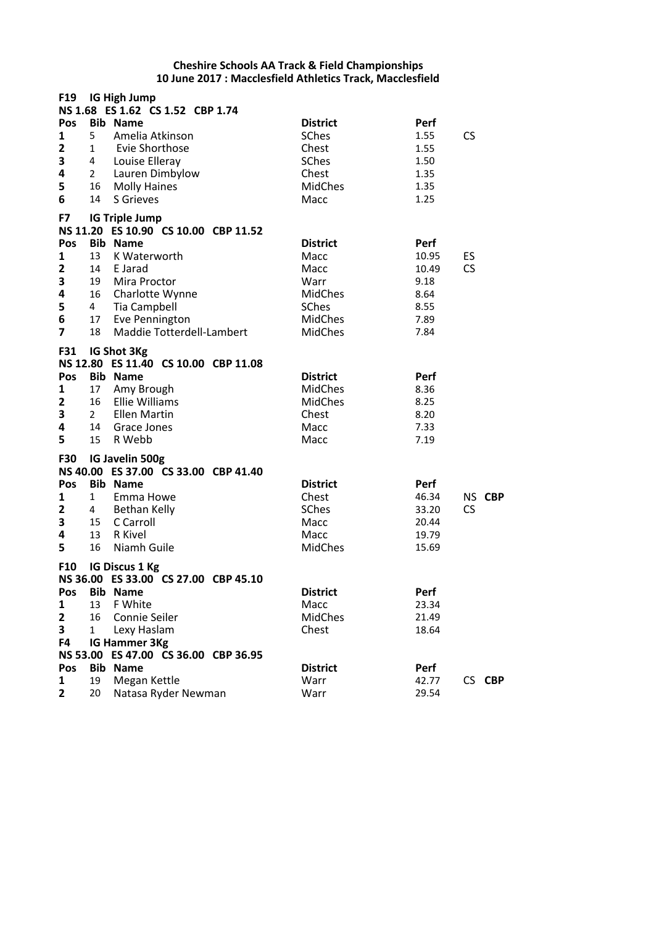| F19                                                                                        |                                                | IG High Jump<br>NS 1.68 ES 1.62 CS 1.52 CBP 1.74                                                                                                                                                                                |                                                                                                        |                                                                |                 |
|--------------------------------------------------------------------------------------------|------------------------------------------------|---------------------------------------------------------------------------------------------------------------------------------------------------------------------------------------------------------------------------------|--------------------------------------------------------------------------------------------------------|----------------------------------------------------------------|-----------------|
| Pos<br>1<br>$\overline{2}$<br>3<br>4<br>5<br>6                                             | 5<br>$\mathbf{1}$<br>4<br>$\overline{2}$<br>14 | <b>Bib Name</b><br>Amelia Atkinson<br>Evie Shorthose<br>Louise Elleray<br>Lauren Dimbylow<br>16 Molly Haines<br>S Grieves                                                                                                       | <b>District</b><br>SChes<br>Chest<br><b>SChes</b><br>Chest<br><b>MidChes</b><br>Macc                   | Perf<br>1.55<br>1.55<br>1.50<br>1.35<br>1.35<br>1.25           | <b>CS</b>       |
| F7<br>Pos<br>1<br>$\mathbf{2}$<br>3<br>4<br>5<br>$\bf 6$<br>$\overline{\mathbf{z}}$<br>F31 | 13<br>14<br>19<br>16<br>4<br>18                | <b>IG Triple Jump</b><br>NS 11.20 ES 10.90 CS 10.00 CBP 11.52<br><b>Bib Name</b><br>K Waterworth<br>E Jarad<br>Mira Proctor<br>Charlotte Wynne<br>Tia Campbell<br>17 Eve Pennington<br>Maddie Totterdell-Lambert<br>IG Shot 3Kg | <b>District</b><br>Macc<br>Macc<br>Warr<br><b>MidChes</b><br>SChes<br><b>MidChes</b><br><b>MidChes</b> | Perf<br>10.95<br>10.49<br>9.18<br>8.64<br>8.55<br>7.89<br>7.84 | ES<br><b>CS</b> |
| Pos<br>$\mathbf{1}$<br>$\mathbf{2}$<br>3<br>4<br>5                                         | 16<br>$2^{\circ}$<br>14<br>15                  | NS 12.80 ES 11.40 CS 10.00 CBP 11.08<br><b>Bib Name</b><br>17 Amy Brough<br><b>Ellie Williams</b><br><b>Ellen Martin</b><br>Grace Jones<br>R Webb                                                                               | <b>District</b><br><b>MidChes</b><br><b>MidChes</b><br>Chest<br>Macc<br>Macc                           | Perf<br>8.36<br>8.25<br>8.20<br>7.33<br>7.19                   |                 |
| <b>F30</b><br>Pos<br>1<br>$\mathbf{2}$<br>3<br>4<br>5                                      | $\mathbf{1}$<br>4<br>15<br>13<br>16            | <b>IG Javelin 500g</b><br>NS 40.00 ES 37.00 CS 33.00 CBP 41.40<br><b>Bib Name</b><br>Emma Howe<br>Bethan Kelly<br>C Carroll<br>R Kivel<br>Niamh Guile                                                                           | <b>District</b><br>Chest<br><b>SChes</b><br>Macc<br>Macc<br><b>MidChes</b>                             | Perf<br>46.34<br>33.20<br>20.44<br>19.79<br>15.69              | NS CBP<br>CS    |
| F10<br>Pos<br>1<br>$\mathbf{2}$<br>3<br>F4<br>Pos                                          | 13<br>16<br>$\mathbf{1}$                       | <b>IG Discus 1 Kg</b><br>NS 36.00 ES 33.00 CS 27.00 CBP 45.10<br><b>Bib Name</b><br>F White<br>Connie Seiler<br>Lexy Haslam<br>IG Hammer 3Kg<br>NS 53.00 ES 47.00 CS 36.00 CBP 36.95<br><b>Bib Name</b>                         | <b>District</b><br>Macc<br><b>MidChes</b><br>Chest<br><b>District</b>                                  | Perf<br>23.34<br>21.49<br>18.64<br>Perf                        |                 |
| 1<br>$\overline{2}$                                                                        | 19<br>20                                       | Megan Kettle<br>Natasa Ryder Newman                                                                                                                                                                                             | Warr<br>Warr                                                                                           | 42.77<br>29.54                                                 | CS CBP          |